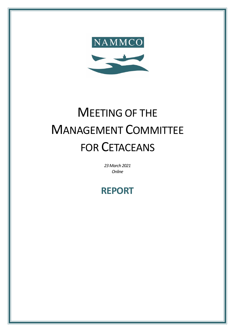

# MEETING OF THE MANAGEMENT COMMITTEE FOR CETACEANS

*23 March 2021 Online*

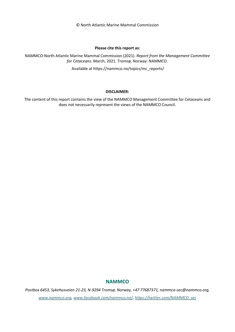© North Atlantic Marine Mammal Commission

#### **Please cite this report as:**

NAMMCO-North Atlantic Marine Mammal Commission (2021). *Report from the Management Committee for Cetaceans*. March, 2021. Tromsø, Norway: NAMMCO.

Available at https://nammco.no/topics/mc\_reports/

#### **DISCLAIMER:**

The content of this report contains the view of the NAMMCO Management Committee for Cetaceans and does not necessarily represent the views of the NAMMCO Council.

# **NAMMCO**

*Postbox 6453, Sykehusveien 21-23, N-9294 Tromsø, Norway, +47 77687371, nammco-sec@nammco.org, www.nammco.org, [www.facebook.com/nammco.no/,](http://www.facebook.com/nammco.no/) [https://twitter.com/NAMMCO\\_sec](https://twitter.com/NAMMCO_sec)*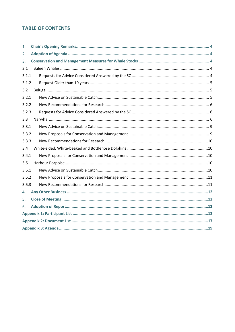# **TABLE OF CONTENTS**

| 1.    |  |  |  |  |
|-------|--|--|--|--|
| 2.    |  |  |  |  |
| 3.    |  |  |  |  |
| 3.1   |  |  |  |  |
| 3.1.1 |  |  |  |  |
| 3.1.2 |  |  |  |  |
| 3.2   |  |  |  |  |
| 3.2.1 |  |  |  |  |
| 3.2.2 |  |  |  |  |
| 3.2.3 |  |  |  |  |
| 3.3   |  |  |  |  |
| 3.3.1 |  |  |  |  |
| 3.3.2 |  |  |  |  |
| 3.3.3 |  |  |  |  |
| 3.4   |  |  |  |  |
| 3.4.1 |  |  |  |  |
| 3.5   |  |  |  |  |
| 3.5.1 |  |  |  |  |
| 3.5.2 |  |  |  |  |
| 3.5.3 |  |  |  |  |
| 4.    |  |  |  |  |
| 5.    |  |  |  |  |
| 6.    |  |  |  |  |
|       |  |  |  |  |
|       |  |  |  |  |
|       |  |  |  |  |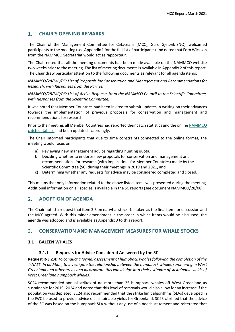# <span id="page-3-0"></span>1. **CHAIR'S OPENING REMARKS**

The Chair of the Management Committee for Cetaceans (MCC), Guro Gjelsvik (NO), welcomed participants to the meeting (se[e Appendix 1](#page-12-0) for the full list of participants) and noted that Fern Wickson from the NAMMCO Secretariat would act as rapporteur.

The Chair noted that all the meeting documents had been made available on the NAMMCO website two weeks prior to the meeting. The list of meeting documents is available in [Appendix 2](#page-16-0) of this report. The Chair drew particular attention to the following documents as relevant for all agenda items:

*NAMMCO/28/MC/05: List of Proposals for Conservation and Management and Recommendations for Research, with Responses from the Parties.*

*NAMMCO/28/MC/06: List of Active Requests from the NAMMCO Council to the Scientific Committee, with Responses from the Scientific Committee.* 

It was noted that Member Countries had been invited to submit updates in writing on their advances towards the implementation of previous proposals for conservation and management and recommendations for research.

Prior to the meeting, all Member Countries had reported their catch statistics and the online [NAMMCO](https://nammco.no/topics/catch-database/) [catch database](https://nammco.no/topics/catch-database/) had been updated accordingly.

The Chair informed participants that due to time constraints connected to the online format, the meeting would focus on:

- a) Reviewing new management advice regarding hunting quota,
- b) Deciding whether to endorse new proposals for conservation and management and recommendations for research (with implications for Member Countries) made by the Scientific Committee (SC) during their meetings in 2019 and 2021, and
- c) Determining whether any requests for advice may be considered completed and closed.

This means that only information related to the above listed items was presented during the meeting. Additional information on all species is available in the SC reports (see document NAMMCO/28/08).

# <span id="page-3-1"></span>2. **ADOPTION OF AGENDA**

The Chair noted a request that item 3.5 on narwhal stocks be taken as the final item for discussion and the MCC agreed. With this minor amendment in the order in which items would be discussed, the agenda was adopted and is available as [Appendix 3](#page-18-0) to this report.

# <span id="page-3-2"></span>3. **CONSERVATION AND MANAGEMENT MEASURES FOR WHALE STOCKS**

# <span id="page-3-4"></span><span id="page-3-3"></span>**3.1 BALEEN WHALES**

# **3.1.1 Requests for Advice Considered Answered by the SC**

**Request R-3.2.4:** *To conduct a formal assessment of humpback whales following the completion of the T-NASS. In addition, to investigate the relationship between the humpback whales summering in West Greenland and other areas and incorporate this knowledge into their estimate of sustainable yields of West Greenland humpback whales.*

SC24 recommended annual strikes of no more than 25 humpback whales off West Greenland as sustainable for 2019–2024 and noted that this level of removals would also allow for an increase if the population was depleted. SC24 also recommended that the strike limit algorithms (SLAs) developed in the IWC be used to provide advice on sustainable yields for Greenland. SC25 clarified that the advice of the SC was based on the humpback SLA without any use of a needs statement and reiterated that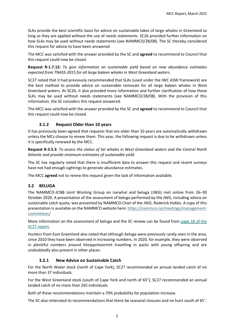SLAs provide the best scientific basis for advice on sustainable takes of large whales in Greenland so long as they are applied without the use of needs statements. SC26 provided further information on how SLAs may be used without needs statements (see NAMMCO/28/08). The SC thereby considered this request for advice to have been answered.

The MCC was satisfied with the answer provided by the SC and **agreed** to recommend to Council that this request could now be closed.

**Request R-1.7.12:** *To give information on sustainable yield based on new abundance estimates expected from TNASS-2015 for all large baleen whales in West Greenland waters.*

SC27 noted that it had previously recommended that SLAs (used under the IWC ASW framework) are the best method to provide advice on sustainable removals for all large baleen whales in West Greenland waters. At SC26, it also provided more information and further clarification of how these SLAs may be used without needs statements (see NAMMCO/28/08). With the provision of this information, the SC considers this request answered.

The MCC was satisfied with the answer provided by the SC and **agreed** to recommend to Council that this request could now be closed.

# **3.1.2 Request Older than 10 years**

<span id="page-4-0"></span>It has previously been agreed that requests that are older than 10 years are automatically withdrawn unless the MCs choose to renew them. This year, the following request is due to be withdrawn unless it is specifically renewed by the MCC.

**Request R-3.5.3**: *To assess the status of Sei whales in West Greenland waters and the Central North Atlantic and provide minimum estimates of sustainable yield.*

The SC has regularly noted that there is insufficient data to answer this request and recent surveys have not had enough sightings to generate abundance estimates.

The MCC **agreed** not to renew this request given the lack of information available.

# <span id="page-4-1"></span>**3.2 BELUGA**

The NAMMCO-JCNB Joint Working Group on narwhal and beluga (JWG) met online from 26–30 October 2020. A presentation of the assessment of beluga performed by the JWG, including advice on sustainable catch quota, was presented by NAMMCO Chair of the JWG, Roderick Hobbs. A copy of this presentation is available on the NAMMCO website here: [https://nammco.no/meetings/management](https://nammco.no/meetings/management-committees/)[committees/](https://nammco.no/meetings/management-committees/)

More information on the assessment of beluga and the SC review can be found from [page 18 of the](https://nammco.no/wp-content/uploads/2017/01/final_report_sc27_2021.pdf#page=18)  [SC27 report.](https://nammco.no/wp-content/uploads/2017/01/final_report_sc27_2021.pdf#page=18)

Hunters from East Greenland also noted that although beluga were previously rarely seen in the area, since 2010 they have been observed in increasing numbers. In 2020, for example, they were observed in plentiful numbers around Ittoqqortoormiit travelling in packs with young offspring and are undoubtedly also present in other places.

# **3.2.1 New Advice on Sustainable Catch**

<span id="page-4-2"></span>For the North Water stock (north of Cape York), SC27 recommended an annual landed catch of no more than 37 individuals.

For the West Greenland stock (south of Cape York and north of 65°), SC27 recommended an annual landed catch of no more than 265 individuals.

Both of these recommendations maintain a 70% probability for population increase.

The SC also reiterated its recommendations that there be seasonal closures and no hunt south of 65˚.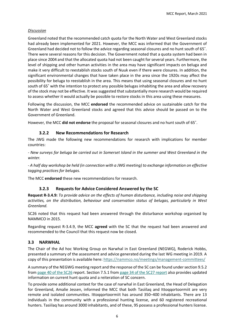#### *Discussion*

Greenland noted that the recommended catch quota for the North Water and West Greenland stocks had already been implemented for 2021. However, the MCC was informed that the Government of Greenland had decided not to follow the advice regarding seasonal closures and no hunt south of 65˚. There were several reasons for this decision. The Government noted that a quota system had been in place since 2004 and that the allocated quota had not been caught forseveral years. Furthermore, the level of shipping and other human activities in the area may have significant impacts on beluga and make it very difficult to reestablish stocks south of Nuuk even if there were closures. In addition, the significant environmental changes that have taken place in the area since the 1920s may affect the possibility for beluga to reestablish in the area. This means that using seasonal closures and no hunt south of 65˚ with the intention to protect any possible belugas inhabiting the area and allow recovery of the stock may not be effective. It was suggested that substantially more research would be required to assess whether it would actually be possible to restore stocks in this area using these measures.

Following the discussion, the MCC **endorsed** the recommended advice on sustainable catch for the North Water and West Greenland stocks and agreed that this advice should be passed on to the Government of Greenland.

<span id="page-5-0"></span>However, the MCC **did not endorse** the proposal for seasonal closures and no hunt south of 65˚.

# **3.2.2 New Recommendations for Research**

The JWG made the following new recommendations for research with implications for member countries:

*- New surveys for beluga be carried out in Somerset Island in the summer and West Greenland in the winter.*

*- A half day workshop be held (in connection with a JWG meeting) to exchange information on effective tagging practices for belugas.*

<span id="page-5-1"></span>The MCC **endorsed** these new recommendations for research.

#### **3.2.3 Requests for Advice Considered Answered by the SC**

**Request R-3.4.9:** *To provide advice on the effects of human disturbance, including noise and shipping activities, on the distribution, behaviour and conservation status of belugas, particularly in West Greenland.*

SC26 noted that this request had been answered through the disturbance workshop organised by NAMMCO in 2015.

Regarding request R-3.4.9, the MCC **agreed** with the SC that the request had been answered and recommended to the Council that this request now be closed.

# <span id="page-5-2"></span>**3.3 NARWHAL**

The Chair of the Ad hoc Working Group on Narwhal in East Greenland (NEGWG), Roderick Hobbs, presented a summary of the assessment and advice generated during the last WG meeting in 2019. A copy of this presentation is available here:<https://nammco.no/meetings/management-committees/>

A summary of the NEGWG meeting report and the response of the SC can be found under section 9.5.2 from [page 40 of the SC26](https://nammco.no/wp-content/uploads/2017/01/final-report_sc26-2019_rev230120.pdf#page=47) report. Section 7.5.1 from [page 34 of the SC27 report](https://nammco.no/wp-content/uploads/2017/01/final_report_sc27_2021.pdf#page=34) also provides updated information on current hunt quota and a reiteration of SC concern.

To provide some additional context for the case of narwhal in East Greenland, the Head of Delegation for Greenland, Amalie Jessen, informed the MCC that both Tasiilaq and Ittoqqortoormiit are very remote and isolated communities. Ittoqqortoormiit has around 350–400 inhabitants. There are 13 individuals in the community with a professional hunting license, and 60 registered recreational hunters. Tasiilaq has around 3000 inhabitants, and of these, 95 possess a professional hunters license.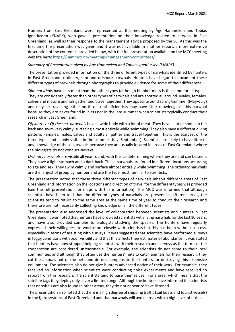Hunters from East Greenland were represented at the meeting by Åge Hammeken and Tobias Ignatiussen (KNAPK), who gave a presentation on their knowledge related to narwhal in East Greenland, as well as their response to the management advice proposed by the SC. As this was the first time the presentation was given and it was not available in another report, a more extensive description of the content is provided below, with the full presentation available on the MCC meeting website here[: https://nammco.no/meetings/management-committees/.](https://nammco.no/meetings/management-committees/)

#### *Summary of Presentation given by Åge Hammeken and Tobias Ignatiussen (KNAPK)*

The presentation provided information on the three different types of narwhals identified by hunters in East Greenland: ordinary, slim and offshore narwhals. Hunters have begun to document these different types of narwhals through photographs to provide evidence for some of their differences.

*Slim narwhals* have less meat than the other types (although blubber mass is the same for all types). They are considerably faster than other types of narwhals and are spotted all around. Males, females, calves and mature animals gather and travel together. They appear around spring/summer (May–July) and may be travelling either north or south. Scientists may have little knowledge of this narwhal because they are never found in inlets nor in the late summer when scientists typically conduct their research in East Greenland.

*Offshore, or Of the sea, narwhals* have a wide body with a lot of meat. They have a lot of spots on the back and swim very calmy, surfacing almost entirely while swimming. They also have a different diving pattern. Females, males, calves and adults all gather and travel together. This is the scarcest of the three types and is only visible in the summer (July–September). Scientists are likely to have little (if any) knowledge of these narwhals because they are usually located in areas of East Greenland where the biologists do not conduct surveys.

*Ordinary narwhals* are visible all year round, with the ice determining where they are and can be seen. They have a light stomach and a dark back. These narwhals are found in different locations according to age and sex. They swim calmly and surface almost entirely while swimming. The ordinary narwhals are the largest of group by number and are the type most familiar to scientists.

The presentation noted that these three different types of narwhals inhabit different areas of East Greenland and information on the locations and direction of travel for the different types was provided (see the full presentation for maps with this information). The MCC was informed that although scientists have been told that the different types of narwhals are present in different areas, the scientists tend to return to the same area at the same time of year to conduct their research and therefore are not necessarily collecting knowledge on all the different types.

The presentation also addressed the level of collaboration between scientists and hunters in East Greenland. It was noted that hunters have provided scientists with living narwhals for the last 10 years, and have also provided samples to biologists studying the species. The hunters have regularly expressed their willingness to work more closely with scientists but this has been without success, especially in terms of assisting with surveys. It was suggested that scientists have performed surveys in foggy conditions with poor visibility and that this affects their estimates of abundance. It was stated that hunters have now stopped helping scientists with their research and surveys as the terms of the cooperation are considered unreasonable. For example, the scientists do not come to their local communities and although they often use the hunters' nets to catch animals for their research, they cut the animals out of the nets and do not compensate the hunters for destroying this expensive equipment. The scientists also do not give hunters advanced notice of their work. For example, they received no information when scientists were conducting noise experiments and have received no report from this research. The scientists tend to base themselves in one area, which means that the satellite tags they deploy only cover a limited range. Although the hunters have informed the scientists that narwhals are also found in other areas, they do not appear to have listened.

The presentation also noted that there is a high degree of shipping traffic (sail boats and tourist vessels) in the fjord systems of East Greenland and that narwhals will avoid areas with a high level of noise.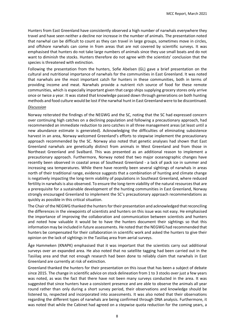Hunters from East Greenland have consistently observed a high number of narwhals everywhere they travel and have seen neither a decline nor increase in the number of animals. The presentation noted that narwhal can be difficult to count as they can travel in large groups, sometimes move in circles, and offshore narwhals can come in from areas that are not covered by scientific surveys. It was emphasised that hunters do not take large numbers of animals since they use small boats and do not want to diminish the stocks. Hunters therefore do not agree with the scientists' conclusion that the species is threatened with extinction.

Following the presentation from the hunters, Sofie Abelsen (GL) gave a brief presentation on the cultural and nutritional importance of narwhals for the communities in East Greenland. It was noted that narwhals are the most important catch for hunters in these communities, both in terms of providing income and meat. Narwhals provide a nutrient rich source of food for these remote communities, which is especially important given that cargo ships supplying grocery stores only arrive once or twice a year. It was stated that knowledge passed down through generations on both hunting methods and food culture would be lost if the narwhal hunt in East Greenland were to be discontinued.

#### *Discussion*

Norway reiterated the findings of the NEGWG and the SC, noting that the SC had expressed concern over continuing high catches on a declining population and following a precautionary approach, had recommended an immediate reduction to zero catches in all three management areas (at least until a new abundance estimate is generated). Acknowledging the difficulties of eliminating subsistence harvest in an area, Norway welcomed Greenland's efforts to stepwise implement the precautionary approach recommended by the SC. Norway also noted that genetic analyses had shown that East Greenland narwhals are genetically distinct from animals in West Greenland and from those in Northeast Greenland and Svalbard. This was presented as an additional reason to implement a precautionary approach. Furthermore, Norway noted that two major oceanographic changes have recently been observed in coastal areas of Southeast Greenland - a lack of pack ice in summer and increasing sea temperatures. While there have recently been several sightings of narwhals in areas north of their traditional range, evidence suggests that a combination of hunting and climate change is negatively impacting the long-term viability of populations in Southeast Greenland, where reduced fertility in narwhals is also observed. To ensure the long-term viability of the natural resources that are a prerequisite for a sustainable development of the hunting communities in East Greenland, Norway strongly encouraged Greenland to implement the SC's precautionary approach recommendations as quickly as possible in this critical situation.

The Chair of the NEGWG thanked the hunters for their presentation and acknowledged that reconciling the differences in the viewpoints of scientists and hunters on this issue was not easy. He emphasised the importance of improving the collaboration and communication between scientists and hunters and noted how valuable it would be to have the hunters document their sightings so that this information may be included in future assessments. He noted that the NEGWG had recommended that hunters be compensated for their collaboration in scientific work and asked the hunters to give their opinion on the lack of sightings in the Tasiilaq area from aerial surveys.

Åge Hammeken (KNAPK) emphasised that it was important that the scientists carry out additional surveys over an expanded area. He also noted that no satellite tagging had been carried out in the Tasiilaq area and that not enough research had been done to reliably claim that narwhals in East Greenland are currently at risk of extinction.

Greenland thanked the hunters for their presentation on this issue that has been a subject of debate since 2015. The change in scientific advice on stock delineation from 1 to 3 stocks over just a few years was noted, as was the fact that there have not been many surveys conducted in the area. It was suggested that since hunters have a consistent presence and are able to observe the animals all year round rather than only during a short survey period, their observations and knowledge should be listened to, respected and incorporated into assessments. It was also noted that their observations regarding the different types of narwhals are being confirmed through DNA analysis. Furthermore, it was noted that while the Cabinet had agreed on a stepwise quota reduction for the coming years, a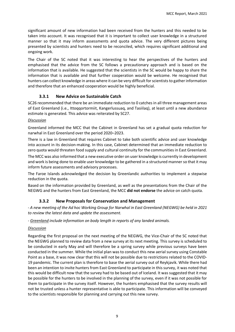significant amount of new information had been received from the hunters and this needed to be taken into account. It was recognised that it is important to collect user knowledge in a structured manner so that it may inform assessments and quota advice. The very different pictures being presented by scientists and hunters need to be reconciled, which requires significant additional and ongoing work.

The Chair of the SC noted that it was interesting to hear the perspectives of the hunters and emphasised that the advice from the SC follows a precautionary approach and is based on the information that is available. He suggested that the scientists in the SC would be happy to share the information that is available and that further cooperation would be welcome. He recognised that hunters can collect knowledge in areas where it can be very difficult for scientists to gather information and therefore that an enhanced cooperation would be highly beneficial.

# **3.3.1 New Advice on Sustainable Catch**

<span id="page-8-0"></span>SC26 recommended that there be an immediate reduction to 0 catches in all three management areas of East Greenland (i.e., Ittoqqortormiit, Kangerlussuaq, and Tasiilaq), at least until a new abundance estimate is generated. This advice was reiterated by SC27.

#### *Discussion*

Greenland informed the MCC that the Cabinet in Greenland has set a gradual quota reduction for narwhal in East Greenland over the period 2020–2023.

There is a law in Greenland that requires Cabinet to take both scientific advice and user knowledge into account in its decision-making. In this case, Cabinet determined that an immediate reduction to zero quota would threaten food supply and cultural continuity for the communities in East Greenland.

The MCC was also informed that a new executive order on user knowledge is currently in development and work is being done to enable user knowledge to be gathered in a structured manner so that it may inform future assessments and advisory processes.

The Faroe Islands acknowledged the decision by Greenlandic authorities to implement a stepwise reduction in the quota.

Based on the information provided by Greenland, as well as the presentations from the Chair of the NEGWG and the hunters from East Greenland, the MCC **did not endorse** the advice on catch quota.

# **3.3.2 New Proposals for Conservation and Management**

<span id="page-8-1"></span>*- A new meeting of the Ad hoc Working Group for Narwhal in East Greenland (NEGWG) be held in 2021 to review the latest data and update the assessment.*

*- Greenland include information on body length in reports of any landed animals.*

# *Discussion*

Regarding the first proposal on the next meeting of the NEGWG, the Vice-Chair of the SC noted that the NEGWG planned to review data from a new survey at its next meeting. This survey is scheduled to be conducted in early May and will therefore be a spring survey while previous surveys have been conducted in the summer. While the initial plan was to conduct this new aerial survey using Constable Point as a base, it was now clear that this will not be possible due to restrictions related to the COVID-19 pandemic. The current plan is therefore to base the aerial survey out of Reykjavik. While there had been an intention to invite hunters from East Greenland to participate in this survey, it was noted that this would be difficult now that the survey had to be based out of Iceland. It was suggested that it may be possible for the hunters to be involved in the planning of the survey, even if it was not possible for them to participate in the survey itself. However, the hunters emphasised that the survey results will not be trusted unless a hunter representative is able to participate. This information will be conveyed to the scientists responsible for planning and carrying out this new survey.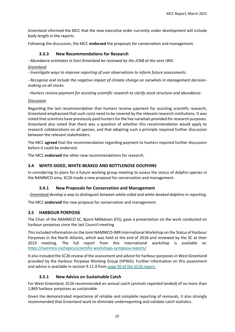Greenland informed the MCC that the new executive order currently under development will include body length in the reports.

<span id="page-9-0"></span>Following the discussion, the MCC **endorsed** the proposals for conservation and management.

# **3.3.3 New Recommendations for Research**

*- Abundance estimates in East Greenland be reviewed by the JCNB at the next JWG.*

*Greenland*

*- Investigate ways to improve reporting of user observations to inform future assessments.* 

*- Recognise and include the negative impact of climate change on narwhals in management decisionmaking on all stocks.* 

*- Hunters receive payment for assisting scientific research to clarify stock structure and abundance.* 

#### *Discussion*

Regarding the last recommendation that hunters receive payment for assisting scientific research, Greenland emphasised that such costs need to be covered by the relevant research institutions. It was noted that scientists have previously paid hunters for the live narwhals provided for research purposes. Greenland also noted that there was a question of whether this recommendation would apply to research collaborations on all species, and that adopting such a principle required further discussion between the relevant stakeholders.

The MCC **agreed** that the recommendation regarding payment to hunters required further discussion before it could be endorsed.

The MCC **endorsed** the other new recommendations for research.

# <span id="page-9-1"></span>**3.4 WHITE-SIDED, WHITE-BEAKED AND BOTTLENOSE DOLPHINS**

In considering its plans for a future working group meeting to assess the status of dolphin species in the NAMMCO area, SC26 made a new proposal for conservation and management.

# **3.4.1 New Proposals for Conservation and Management**

<span id="page-9-2"></span>*- Greenland develop a way to distinguish between white-sided and white-beaked dolphins in reporting.*

The MCC **endorsed** the new proposal for conservation and management.

# <span id="page-9-3"></span>**3.5 HARBOUR PORPOISE**

The Chair of the NAMMCO SC, Bjarni Mikkelsen (FO), gave a presentation on the work conducted on harbour porpoises since the last Council meeting.

This included information on the Joint NAMMCO-IMR International Workshop on the Status of Harbour Porpoises in the North Atlantic, which was held at the end of 2018 and reviewed by the SC at their 2019 meeting. The full report from this international workshop is available <https://nammco.no/topics/scientific-workshops-symposia-reports/>

It also included the SC26 review of the assessment and advice for harbour porpoises in West Greenland provided by the Harbour Porpoise Working Group (HPWG). Further information on this assessment and advice is available in section 9.11.4 from [page 50 of the SC26 report.](https://nammco.no/wp-content/uploads/2017/01/final-report_sc26-2019_rev230120.pdf#page=57)

# **3.5.1 New Advice on Sustainable Catch**

<span id="page-9-4"></span>For West Greenland, SC26 recommended an annual catch (animals reported landed) of no more than 1,869 harbour porpoises as sustainable.

Given the demonstrated importance of reliable and complete reporting of removals, it also strongly recommended that Greenland work to eliminate underreporting and validate catch statistics.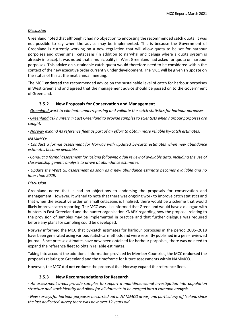# *Discussion*

Greenland noted that although it had no objection to endorsing the recommended catch quota, it was not possible to say when the advice may be implemented. This is because the Government of Greenland is currently working on a new regulation that will allow quota to be set for harbour porpoises and other small cetaceans (in addition to narwhal and beluga where a quota system is already in place). It was noted that a municipality in West Greenland had asked for quota on harbour porpoises. This advice on sustainable catch quota would therefore need to be considered within the context of the new executive order currently under development. The MCC will be given an update on the status of this at the next annual meeting.

The MCC **endorsed** the recommended advice on the sustainable level of catch for harbour porpoises in West Greenland and agreed that the management advice should be passed on to the Government of Greenland.

# **3.5.2 New Proposals for Conservation and Management**

<span id="page-10-0"></span>*- Greenland work to eliminate underreporting and validate the catch statistics for harbour porpoises.*

*- Greenland ask hunters in East Greenland to provide samples to scientists when harbour porpoises are caught.* 

*- Norway expand its reference fleet as part of an effort to obtain more reliable by-catch estimates.*

#### *NAMMCO:*

*- Conduct a formal assessment for Norway with updated by-catch estimates when new abundance estimates become available.*

*- Conduct a formal assessment for Iceland following a full review of available data, including the use of close-kinship genetic analysis to arrive at abundance estimates.*

*- Update the West GL assessment as soon as a new abundance estimate becomes available and no later than 2029.*

#### *Discussion*

Greenland noted that it had no objections to endorsing the proposals for conservation and management. However, it wished to note that there was ongoing work to improve catch statistics and that when the executive order on small cetaceans is finalised, there would be a scheme that would likely improve catch reporting. The MCC was also informed that Greenland would have a dialogue with hunters in East Greenland and the hunter organisation KNAPK regarding how the proposal relating to the provision of samples may be implemented in practice and that further dialogue was required before any plans for sampling could be developed.

Norway informed the MCC that by-catch estimates for harbour porpoises in the period 2006–2018 have been generated using various statistical methods and were recently published in a peer-reviewed journal. Since precise estimates have now been obtained for harbour porpoises, there was no need to expand the reference fleet to obtain reliable estimates.

Taking into account the additional information provided by Member Countries, the MCC **endorsed** the proposals relating to Greenland and the timeframe for future assessments within NAMMCO.

<span id="page-10-1"></span>However, the MCC **did not endorse** the proposal that Norway expand the reference fleet.

# **3.5.3 New Recommendations for Research**

*- All assessment areas provide samples to support a multidimensional investigation into population structure and stock identity and allow for all datasets to be merged into a common analysis.* 

*- New surveys for harbour porpoises be carried out in NAMMCO areas, and particularly off Iceland since the last dedicated survey there was now over 12 years old.*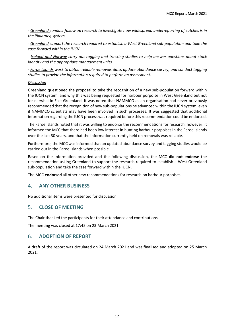*- Greenland conduct follow up research to investigate how widespread underreporting of catches is in the Piniarneq system.*

*- Greenland support the research required to establish a West Greenland sub-population and take the case forward within the IUCN.*

*- Iceland and Norway carry out tagging and tracking studies to help answer questions about stock identity and the appropriate management units.* 

*- Faroe Islands work to obtain reliable removals data, update abundance survey, and conduct tagging studies to provide the information required to perform an assessment.*

#### *Discussion*

Greenland questioned the proposal to take the recognition of a new sub-population forward within the IUCN system, and why this was being requested for harbour porpoise in West Greenland but not for narwhal in East Greenland. It was noted that NAMMCO as an organisation had never previously recommended that the recognition of new sub-populations be advanced within the IUCN system, even if NAMMCO scientists may have been involved in such processes. It was suggested that additional information regarding the IUCN process was required before this recommendation could be endorsed.

The Faroe Islands noted that it was willing to endorse the recommendations for research, however, it informed the MCC that there had been low interest in hunting harbour porpoises in the Faroe Islands over the last 30 years, and that the information currently held on removals was reliable.

Furthermore, the MCC was informed that an updated abundance survey and tagging studies would be carried out in the Faroe Islands when possible.

Based on the information provided and the following discussion, the MCC **did not endorse** the recommendation asking Greenland to support the research required to establish a West Greenland sub-population and take the case forward within the IUCN.

The MCC **endorsed** all other new recommendations for research on harbour porpoises.

# <span id="page-11-0"></span>4. **ANY OTHER BUSINESS**

No additional items were presented for discussion.

# <span id="page-11-1"></span>5. **CLOSE OF MEETING**

The Chair thanked the participants for their attendance and contributions.

The meeting was closed at 17:45 on 23 March 2021.

# <span id="page-11-2"></span>6. **ADOPTION OF REPORT**

A draft of the report was circulated on 24 March 2021 and was finalised and adopted on 25 March 2021.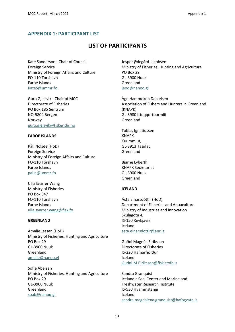# <span id="page-12-0"></span>**APPENDIX 1: PARTICIPANT LIST**

# **LIST OF PARTICIPANTS**

Kate Sanderson - Chair of Council Foreign Service Ministry of Foreign Affairs and Culture FO-110 Tórshavn Faroe Islands KateS@ummr.fo

Guro Gjelsvik - Chair of MCC Directorate of Fisheries PO Box 185 Sentrum NO-5804 Bergen Norway guro.gjelsvik@fiskeridir.no

#### **FAROE ISLANDS**

Páll Nolsøe (HoD) Foreign Service Ministry of Foreign Affairs and Culture FO-110 Tórshavn Faroe Islands palln@ummr.fo

Ulla Svarrer Wang Ministry of Fisheries PO Box 347 FO-110 Tórshavn Faroe Islands ulla.svarrer.wang@fisk.fo

#### **GREENLAND**

Amalie Jessen (HoD) Ministry of Fisheries, Hunting and Agriculture PO Box 29 GL-3900 Nuuk Greenland [amalie@nanoq.gl](mailto:Amalie@nanoq.gl)

Sofie Abelsen Ministry of Fisheries, Hunting and Agriculture PO Box 29 GL-3900 Nuuk Greenland soab@nanoq.gl

Jesper Ødegård Jakobsen Ministry of Fisheries, Hunting and Agriculture PO Box 29 GL-3900 Nuuk Greenland jeod@nanoq.gl

Åge Hammeken Danielsen Association of Fishers and Hunters in Greenland (KNAPK) GL-3980 Ittoqqortoormiit Greenland

Tobias Ignatiussen KNAPK Kuummiut, GL-3913 Tasiilaq Greenland

Bjarne Lyberth KNAPK Secretariat GL-3900 Nuuk Greenland

#### **ICELAND**

Ásta Einarsdóttir (HoD) Department of Fisheries and Aquaculture Ministry of Industries and Innovation Skúlagötu 4, IS-150 Reykjavik Iceland [asta.einarsdottir@anr.is](mailto:asta.einarsdottir@anr.is)

Guðni Magnús Eiríksson Directorate of Fisheries IS-220 Hafnarfjörður Iceland [Gudni.M.Eiriksson@fiskistofa.is](mailto:Gudni.M.Eiriksson@fiskistofa.is)

Sandra Granquist Icelandic Seal Center and Marine and Freshwater Research Institute IS-530 Hvammstangi Iceland [sandra.magdalena.granquist@hafogvatn.is](mailto:sandra.magdalena.granquist@hafogvatn.is)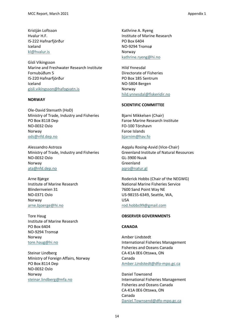Kristján Loftsson Hvalur H.F. IS-222 Hafnarfjörður Iceland [kl@hvalur.is](mailto:kl@hvalur.is)

Gísli Víkingsson Marine and Freshwater Research Institute Fornubúðum 5 IS-220 Hafnarfjörður Iceland [gisli.vikingsson@hafogvatn.is](mailto:Gisli.vikingsson@hafogvatn.is)

#### **NORWAY**

Ole-David Stenseth (HoD) Ministry of Trade, Industry and Fisheries PO Box 8118 Dep NO-0032 Oslo Norway ods@nfd.dep.no

Alessandro Astroza Ministry of Trade, Industry and Fisheries NO-0032 Oslo Norway [ata@nfd.dep.no](https://nammco.sharepoint.com/Sec/07-MCs/03-Committee%20Meetings/2021%20-%20NAMMCO%2028/Annual%20Meeting%2028/Reports/ata@nfd.dep.no)

Arne Bjørge Institute of Marine Research Blindernveien 31 NO-0371 Oslo Norway [arne.bjoerge@hi.no](mailto:arne.bjoerge@hi.no)

Tore Haug Institute of Marine Research PO Box 6404 NO-9294 Tromsø Norway [tore.haug@hi.no](mailto:tore.haug@hi.no)

Steinar Lindberg Ministry of Foreign Affairs, Norway PO Box 8114 Dep NO-0032 Oslo Norway [steinar.lindberg@mfa.no](mailto:steinar.lindberg@mfa.no)

Kathrine A. Ryeng Institute of Marine Research PO Box 6404 NO-9294 Tromsø Norway [kathrine.ryeng@hi.no](mailto:kathrine.ryeng@hi.no)

Hild Ynnesdal Directorate of Fisheries PO Box 185 Sentrum NO-5804 Bergen Norway [hild.ynnesdal@fiskeridir.no](https://nammco.sharepoint.com/Sec/07-MCs/03-Committee%20Meetings/2021%20-%20NAMMCO%2028/18-February%20meeting/Report/hild.ynnesdal@fiskeridir.no)

#### **SCIENTIFIC COMMITTEE**

Bjarni Mikkelsen (Chair) Faroe Marine Research Institute FO-100 Tórshavn Faroe Islands bjarnim@hav.fo

Aqqalu Rosing-Asvid (Vice-Chair) Greenland Institute of Natural Resources GL-3900 Nuuk Greenland [aqro@natur.gl](https://nammco.sharepoint.com/Sec/07-MCs/03-Committee%20Meetings/2021%20-%20NAMMCO%2028/Annual%20Meeting%2028/Reports/aqro@natur.gl)

Roderick Hobbs (Chair of the NEGWG) National Marine Fisheries Service 7600 Sand Point Way NE US-98155-6349, Seattle, WA, USA [rod.hobbs99@gmail.com](mailto:rod.hobbs99@gmail.com)

#### **OBSERVER GOVERNMENTS**

#### **CANADA**

Amber Lindstedt International Fisheries Management Fisheries and Oceans Canada CA-K1A 0E6 Ottawa, ON Canada [Amber.Lindstedt@dfo-mpo.gc.ca](https://nammco.sharepoint.com/Sec/07-MCs/03-Committee%20Meetings/2021%20-%20NAMMCO%2028/Annual%20Meeting%2028/Reports/Amber.Lindstedt@dfo-mpo.gc.ca)

Daniel Townsend International Fisheries Management Fisheries and Oceans Canada CA-K1A 0E6 Ottawa, ON Canada [Daniel.Townsend@dfo-mpo.gc.ca](https://nammco.sharepoint.com/Sec/07-MCs/03-Committee%20Meetings/2021%20-%20NAMMCO%2028/Annual%20Meeting%2028/Reports/Daniel.Townsend@dfo-mpo.gc.ca)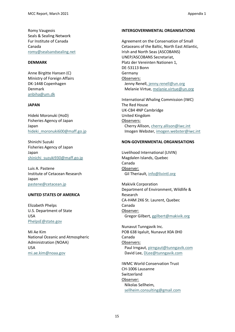Romy Vaugeois Seals & Sealing Network Fur Institute of Canada Canada [romy@sealsandsealing.net](mailto:romy@sealsandsealing.net)

#### **DENMARK**

Anne Birgitte Hansen (C) Ministry of Foreign Affairs DK-1448 Copenhagen Denmark [anbiha@um.dk](mailto:anbiha@um.dk)

# **JAPAN**

Hideki Moronuki (HoD) Fisheries Agency of Japan Japan [hideki\\_moronuki600@maff.go.jp](https://nammco.sharepoint.com/Sec/07-MCs/03-Committee%20Meetings/2021%20-%20NAMMCO%2028/Annual%20Meeting%2028/Reports/hideki_moronuki600@maff.go.jp) 

Shinichi Suzuki Fisheries Agency of Japan Japan [shinichi\\_suzuki930@maff.go.jp](https://nammco.sharepoint.com/Sec/07-MCs/03-Committee%20Meetings/2021%20-%20NAMMCO%2028/Annual%20Meeting%2028/Reports/shinichi_suzuki930@maff.go.jp)

Luis A. Pastene Institute of Cetacean Research Japan [pastene@cetacean.jp](mailto:pastene@cetacean.jp)

# **UNITED STATES OF AMERICA**

Elizabeth Phelps U.S. Department of State USA [PhelpsE@state.gov](https://nammco.sharepoint.com/Sec/07-MCs/03-Committee%20Meetings/2021%20-%20NAMMCO%2028/Annual%20Meeting%2028/Reports/PhelpsE@state.gov)

Mi Ae Kim National Oceanic and Atmospheric Administration (NOAA) USA [mi.ae.kim@noaa.gov](https://nammco.sharepoint.com/Sec/07-MCs/03-Committee%20Meetings/2021%20-%20NAMMCO%2028/Annual%20Meeting%2028/Reports/mi.ae.kim@noaa.gov)

#### **INTERGOVERNMENTAL ORGANISATIONS**

Agreement on the Conservation of Small Cetaceans of the Baltic, North East Atlantic, Irish and North Seas (ASCOBANS) UNEP/ASCOBANS Secretariat, Platz der Vereinten Nationen 1, DE-53113 Bonn Germany Observers: Jenny Renell, [jenny.renell@un.org](https://nammco.sharepoint.com/Sec/07-MCs/03-Committee%20Meetings/2021%20-%20NAMMCO%2028/Annual%20Meeting%2028/Reports/%20jenny.renell@un.org) Melanie Virtue, [melanie.virtue@un.org](https://nammco.sharepoint.com/Sec/07-MCs/03-Committee%20Meetings/2021%20-%20NAMMCO%2028/Annual%20Meeting%2028/Reports/melanie.virtue@un.org)

International Whaling Commission (IWC) The Red House UK-CB4 4NP Cambridge United Kingdom Observers: Cherry Allison, [cherry.allison@iwc.int](https://nammco.sharepoint.com/Sec/07-MCs/03-Committee%20Meetings/2021%20-%20NAMMCO%2028/Annual%20Meeting%2028/Reports/cherry.allison@iwc.int) Imogen Webster, imogen.webster@iwc.int

# **NON-GOVERNMENTAL ORGANISATIONS**

Livelihood International (LIVIN) Magdalen Islands, Quebec Canada Observer: Gil Theriault[, info@livintl.org](mailto:info@livintl.org)

Makivik Corporation Department of Environment, Wildlife & Research CA-H4M 2X6 St. Laurent, Quebec Canada Observer: Gregor Gilbert, [ggilbert@makivik.org](https://nammco.sharepoint.com/Sec/07-MCs/03-Committee%20Meetings/2021%20-%20NAMMCO%2028/Annual%20Meeting%2028/Reports/ggilbert@makivik.org)

Nunavut Tunngavik Inc. POB 638 Iqaluit, Nunavut X0A 0H0 Canada Observers: Paul Irngaut, [pirngaut@tunngavik.com](https://nammco.sharepoint.com/Sec/07-MCs/03-Committee%20Meetings/2021%20-%20NAMMCO%2028/Annual%20Meeting%2028/Reports/pirngaut@tunngavik.com) David Lee, [DLee@tunngavik.com](https://nammco.sharepoint.com/Sec/07-MCs/03-Committee%20Meetings/2021%20-%20NAMMCO%2028/Annual%20Meeting%2028/Reports/DLee@tunngavik.com)

IWMC World Conservation Trust CH-1006 Lausanne Switzerland Observer: Nikolas Sellheim, [sellheim.consulting@gmail.com](https://nammco.sharepoint.com/Sec/07-MCs/03-Committee%20Meetings/2021%20-%20NAMMCO%2028/Annual%20Meeting%2028/Reports/sellheim.consulting@gmail.com)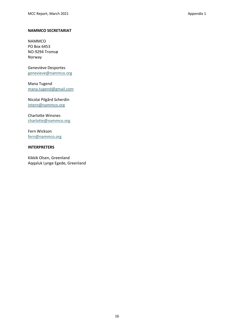#### **NAMMCO SECRETARIAT**

NAMMCO PO Box 6453 NO-9294 Tromsø Norway

Geneviève Desportes [genevieve@nammco.org](https://nammco.sharepoint.com/Sec/07-MCs/03-Committee%20Meetings/2021%20-%20NAMMCO%2028/18-February%20meeting/Report/genevieve@nammco.org)

Mana Tugend [mana.tugend@gmail.com](https://nammco.sharepoint.com/Sec/07-MCs/03-Committee%20Meetings/2021%20-%20NAMMCO%2028/Annual%20Meeting%2028/Reports/mana.tugend@gmail.com)

#### Nicolai Pilgård Scherdin [intern@nammco.org](https://nammco.sharepoint.com/Sec/07-MCs/03-Committee%20Meetings/2021%20-%20NAMMCO%2028/Annual%20Meeting%2028/Reports/intern@nammco.org)

Charlotte Winsnes [charlotte@nammco.org](https://nammco.sharepoint.com/Sec/07-MCs/03-Committee%20Meetings/2021%20-%20NAMMCO%2028/Annual%20Meeting%2028/Reports/charlotte@nammco.org)

Fern Wickson [fern@nammco.org](https://nammco.sharepoint.com/Sec/07-MCs/03-Committee%20Meetings/2021%20-%20NAMMCO%2028/Annual%20Meeting%2028/Reports/fern@nammco.org)

#### **INTERPRETERS**

Kikkik Olsen, Greenland Aqqaluk Lynge Egede, Greenland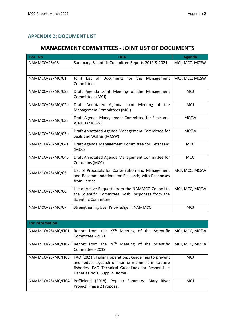# <span id="page-16-0"></span>**APPENDIX 2: DOCUMENT LIST**

# **MANAGEMENT COMMITTEES - JOINT LIST OF DOCUMENTS**

| Doc. No.               | <b>Title</b>                                                                                                                                                                                      | <b>Agenda</b>  |
|------------------------|---------------------------------------------------------------------------------------------------------------------------------------------------------------------------------------------------|----------------|
| NAMMCO/28/08           | Summary: Scientific Committee Reports 2019 & 2021                                                                                                                                                 | MCJ, MCC, MCSW |
|                        |                                                                                                                                                                                                   |                |
| NAMMCO/28/MC/01        | Joint List of Documents for the<br>Management<br>Committees                                                                                                                                       | MCJ, MCC, MCSW |
| NAMMCO/28/MC/02a       | Draft Agenda Joint Meeting of the Management<br>Committees (MCJ)                                                                                                                                  | <b>MCJ</b>     |
| NAMMCO/28/MC/02b       | Draft Annotated Agenda Joint Meeting of the<br>Management Committees (MCJ)                                                                                                                        | <b>MCJ</b>     |
| NAMMCO/28/MC/03a       | Draft Agenda Management Committee for Seals and<br>Walrus (MCSW)                                                                                                                                  | <b>MCSW</b>    |
| NAMMCO/28/MC/03b       | Draft Annotated Agenda Management Committee for<br>Seals and Walrus (MCSW)                                                                                                                        | <b>MCSW</b>    |
| NAMMCO/28/MC/04a       | Draft Agenda Management Committee for Cetaceans<br>(MCC)                                                                                                                                          | <b>MCC</b>     |
| NAMMCO/28/MC/04b       | Draft Annotated Agenda Management Committee for<br>Cetaceans (MCC)                                                                                                                                | <b>MCC</b>     |
| NAMMCO/28/MC/05        | List of Proposals for Conservation and Management<br>and Recommendations for Research, with Responses<br>from Parties                                                                             | MCJ, MCC, MCSW |
| NAMMCO/28/MC/06        | List of Active Requests from the NAMMCO Council to<br>the Scientific Committee, with Responses from the<br><b>Scientific Committee</b>                                                            | MCJ, MCC, MCSW |
| NAMMCO/28/MC/07        | Strengthening User Knowledge in NAMMCO                                                                                                                                                            | <b>MCJ</b>     |
|                        |                                                                                                                                                                                                   |                |
| <b>For Information</b> |                                                                                                                                                                                                   |                |
|                        | NAMMCO/28/MC/FI01 Report from the $27th$ Meeting of the Scientific MCJ, MCC, MCSW<br>Committee - 2021                                                                                             |                |
| NAMMCO/28/MC/FI02      | Report from the 26 <sup>th</sup> Meeting of the Scientific<br>Committee - 2019                                                                                                                    | MCJ, MCC, MCSW |
| NAMMCO/28/MC/FI03      | FAO (2021). Fishing operations. Guidelines to prevent<br>and reduce bycatch of marine mammals in capture<br>fisheries. FAO Technical Guidelines for Responsible<br>Fisheries No 1, Suppl.4. Rome. | <b>MCJ</b>     |
| NAMMCO/28/MC/FI04      | Baffinland (2018). Popular Summary: Mary River<br>Project, Phase 2 Proposal.                                                                                                                      | <b>MCJ</b>     |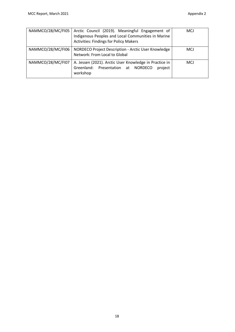| NAMMCO/28/MC/FI05 | Arctic Council (2019). Meaningful Engagement of<br>Indigenous Peoples and Local Communities in Marine<br><b>Activities: Findings for Policy Makers</b> | <b>MCJ</b> |
|-------------------|--------------------------------------------------------------------------------------------------------------------------------------------------------|------------|
| NAMMCO/28/MC/FI06 | NORDECO Project Description - Arctic User Knowledge<br>Network: From Local to Global                                                                   | <b>MCJ</b> |
| NAMMCO/28/MC/FI07 | A. Jessen (2021). Arctic User Knowledge in Practice in<br>Greenland: Presentation at NORDECO<br>project<br>workshop                                    | <b>MCJ</b> |